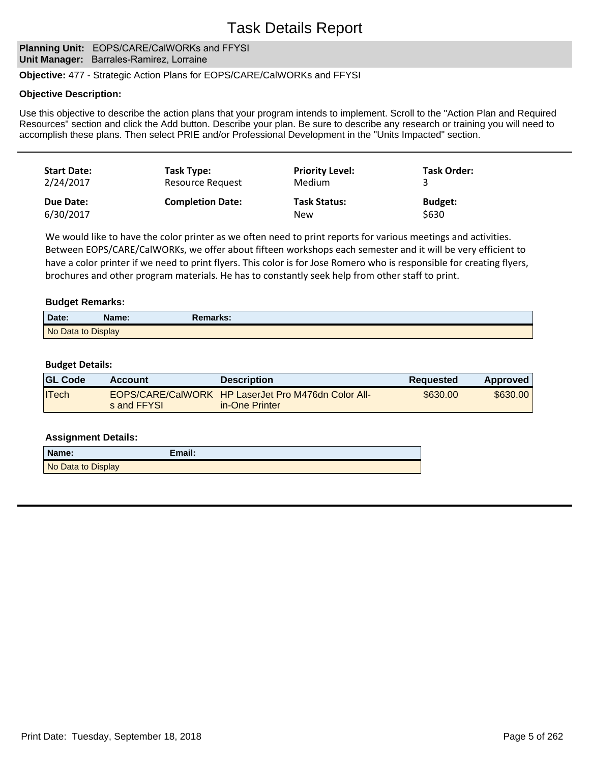## **Planning Unit: EOPS/CARE/CalWORKs and FFYSI Unit Manager:** Barrales-Ramirez, Lorraine

### **Objective:** 477 - Strategic Action Plans for EOPS/CARE/CalWORKs and FFYSI

#### **Objective Description:**

Use this objective to describe the action plans that your program intends to implement. Scroll to the "Action Plan and Required Resources" section and click the Add button. Describe your plan. Be sure to describe any research or training you will need to accomplish these plans. Then select PRIE and/or Professional Development in the "Units Impacted" section.

| <b>Start Date:</b> | Task Type:              | <b>Priority Level:</b> | <b>Task Order:</b> |
|--------------------|-------------------------|------------------------|--------------------|
| 2/24/2017          | Resource Request        | Medium                 |                    |
| Due Date:          | <b>Completion Date:</b> | <b>Task Status:</b>    | <b>Budget:</b>     |
| 6/30/2017          |                         | <b>New</b>             | \$630              |

We would like to have the color printer as we often need to print reports for various meetings and activities. Between EOPS/CARE/CalWORKs, we offer about fifteen workshops each semester and it will be very efficient to have a color printer if we need to print flyers. This color is for Jose Romero who is responsible for creating flyers, brochures and other program materials. He has to constantly seek help from other staff to print.

### **Budget Remarks:**

| Date:              | Name: | Remarks: |  |
|--------------------|-------|----------|--|
| No Data to Display |       |          |  |

#### **Budget Details:**

| <b>GL Code</b> | Account     | <b>Description</b>                                                    | Requested | Approved |
|----------------|-------------|-----------------------------------------------------------------------|-----------|----------|
| <b>ITech</b>   | s and FFYSL | EOPS/CARE/CalWORK HP LaserJet Pro M476dn Color All-<br>in-One Printer | \$630.00  | \$630.00 |

| Name:              | Email: |
|--------------------|--------|
| No Data to Display |        |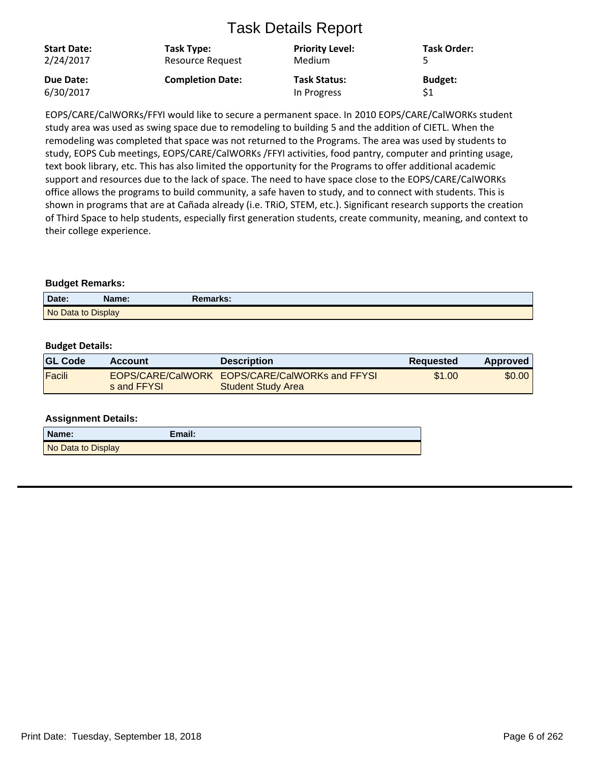| <b>Start Date:</b><br>2/24/2017 | Task Type:<br>Resource Request | <b>Priority Level:</b><br>Medium | <b>Task Order:</b> |
|---------------------------------|--------------------------------|----------------------------------|--------------------|
| Due Date:                       | <b>Completion Date:</b>        | <b>Task Status:</b>              | <b>Budget:</b>     |
| 6/30/2017                       |                                | In Progress                      | \$1                |

EOPS/CARE/CalWORKs/FFYI would like to secure a permanent space. In 2010 EOPS/CARE/CalWORKs student study area was used as swing space due to remodeling to building 5 and the addition of CIETL. When the remodeling was completed that space was not returned to the Programs. The area was used by students to study, EOPS Cub meetings, EOPS/CARE/CalWORKs /FFYI activities, food pantry, computer and printing usage, text book library, etc. This has also limited the opportunity for the Programs to offer additional academic support and resources due to the lack of space. The need to have space close to the EOPS/CARE/CalWORKs office allows the programs to build community, a safe haven to study, and to connect with students. This is shown in programs that are at Cañada already (i.e. TRiO, STEM, etc.). Significant research supports the creation of Third Space to help students, especially first generation students, create community, meaning, and context to their college experience.

## **Budget Remarks:**

| Date:              | Name: | Remarks: |  |
|--------------------|-------|----------|--|
| No Data to Display |       |          |  |

## **Budget Details:**

| <b>GL Code</b> | <b>Account</b> | <b>Description</b>                                                          | <b>Requested</b> | Approved |
|----------------|----------------|-----------------------------------------------------------------------------|------------------|----------|
| Facili         | s and FFYSL    | EOPS/CARE/CalWORK EOPS/CARE/CalWORKs and FFYSI<br><b>Student Study Area</b> | \$1.00           | \$0.00   |

| Name:              | Email: |
|--------------------|--------|
| No Data to Display |        |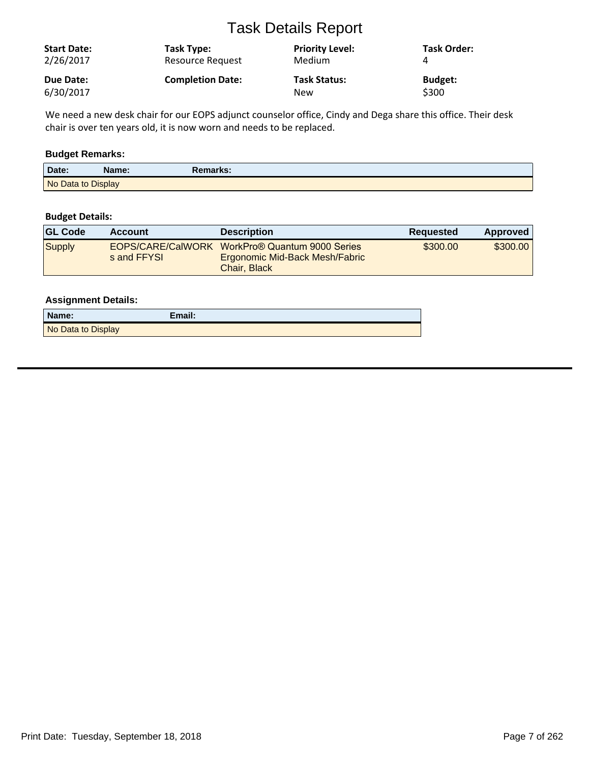| <b>Start Date:</b><br>2/26/2017 | Task Type:<br><b>Resource Request</b> | <b>Priority Level:</b><br>Medium | <b>Task Order:</b> |
|---------------------------------|---------------------------------------|----------------------------------|--------------------|
| Due Date:                       | <b>Completion Date:</b>               | <b>Task Status:</b>              | <b>Budget:</b>     |
| 6/30/2017                       |                                       | New                              | \$300              |

We need a new desk chair for our EOPS adjunct counselor office, Cindy and Dega share this office. Their desk chair is over ten years old, it is now worn and needs to be replaced.

## **Budget Remarks:**

| Date:              | Name: | Remarks: |
|--------------------|-------|----------|
| No Data to Display |       |          |

## **Budget Details:**

| <b>GL Code</b> | <b>Account</b> | <b>Description</b>                                                                               | <b>Requested</b> | Approved |
|----------------|----------------|--------------------------------------------------------------------------------------------------|------------------|----------|
| Supply         | s and FFYSL    | EOPS/CARE/CalWORK WorkPro® Quantum 9000 Series<br>Ergonomic Mid-Back Mesh/Fabric<br>Chair, Black | \$300.00         | \$300,00 |

| Name:              | Email: |
|--------------------|--------|
| No Data to Display |        |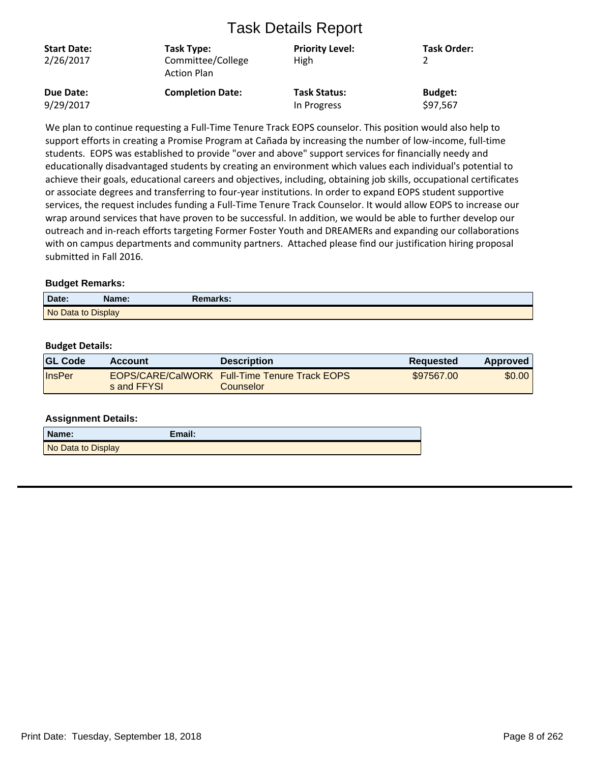| <b>Start Date:</b><br>2/26/2017 | Task Type:<br>Committee/College<br><b>Action Plan</b> | <b>Priority Level:</b><br>High | <b>Task Order:</b> |
|---------------------------------|-------------------------------------------------------|--------------------------------|--------------------|
| Due Date:                       | <b>Completion Date:</b>                               | <b>Task Status:</b>            | <b>Budget:</b>     |
| 9/29/2017                       |                                                       | In Progress                    | \$97,567           |

We plan to continue requesting a Full-Time Tenure Track EOPS counselor. This position would also help to support efforts in creating a Promise Program at Cañada by increasing the number of low-income, full-time students. EOPS was established to provide "over and above" support services for financially needy and educationally disadvantaged students by creating an environment which values each individual's potential to achieve their goals, educational careers and objectives, including, obtaining job skills, occupational certificates or associate degrees and transferring to four-year institutions. In order to expand EOPS student supportive services, the request includes funding a Full-Time Tenure Track Counselor. It would allow EOPS to increase our wrap around services that have proven to be successful. In addition, we would be able to further develop our outreach and in-reach efforts targeting Former Foster Youth and DREAMERs and expanding our collaborations with on campus departments and community partners. Attached please find our justification hiring proposal submitted in Fall 2016.

## **Budget Remarks:**

| Date:              | Name: | Remarks: |  |
|--------------------|-------|----------|--|
| No Data to Display |       |          |  |

## **Budget Details:**

| <b>GL Code</b> | Account     | <b>Description</b>                                                | <b>Requested</b> | Approved |
|----------------|-------------|-------------------------------------------------------------------|------------------|----------|
| <b>InsPer</b>  | s and FFYSL | <b>EOPS/CARE/CalWORK Full-Time Tenure Track EOPS</b><br>Counselor | \$97567.00       | \$0.00   |

| Name:              | Email: |
|--------------------|--------|
| No Data to Display |        |